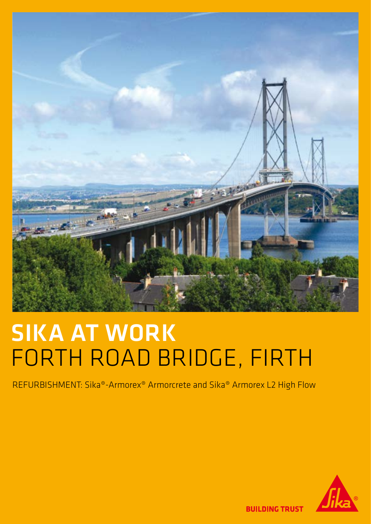

# **SIKA AT WORK** forth road bridge, firth

REFURBISHMENT: Sika®-Armorex® Armorcrete and Sika® Armorex L2 High Flow



**BUILDING TRUST**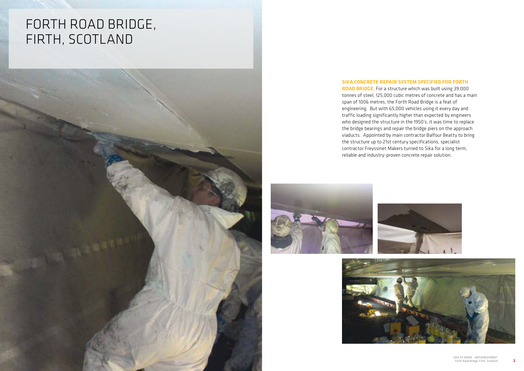## forth road bridge, firth, scotland



### SIKA CONCRETE REPAIR SYSTEM SPECIFIED FOR FORTH



ROAD BRIDGE. For a structure which was built using 39,000 tonnes of steel, 125,000 cubic metres of concrete and has a main span of 1006 metres, the Forth Road Bridge is a feat of engineering. But with 65,000 vehicles using it every day and traffic loading significantly higher than expected by engineers who designed the structure in the 1950's, it was time to replace the bridge bearings and repair the bridge piers on the approach viaducts. Appointed by main contractor Balfour Beatty to bring the structure up to 21st century specifications, specialist contractor Freyssinet Makers turned to Sika for a long term, reliable and industry-proven concrete repair solution.